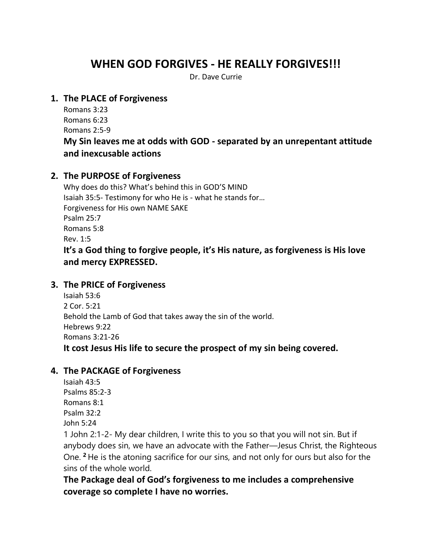# **WHEN GOD FORGIVES - HE REALLY FORGIVES!!!**

Dr. Dave Currie

#### **1. The PLACE of Forgiveness**

Romans 3:23 Romans 6:23 Romans 2:5-9

# **My Sin leaves me at odds with GOD - separated by an unrepentant attitude and inexcusable actions**

## **2. The PURPOSE of Forgiveness**

Why does do this? What's behind this in GOD'S MIND Isaiah 35:5- Testimony for who He is - what he stands for… Forgiveness for His own NAME SAKE Psalm 25:7 Romans 5:8 Rev. 1:5 **It's a God thing to forgive people, it's His nature, as forgiveness is His love and mercy EXPRESSED.**

#### **3. The PRICE of Forgiveness**

Isaiah 53:6 2 Cor. 5:21 Behold the Lamb of God that takes away the sin of the world. Hebrews 9:22 Romans 3:21-26 **It cost Jesus His life to secure the prospect of my sin being covered.**

#### **4. The PACKAGE of Forgiveness**

Isaiah 43:5 Psalms 85:2-3 Romans 8:1 Psalm 32:2 John 5:24

1 John 2:1-2- My dear children, I write this to you so that you will not sin. But if anybody does sin, we have an advocate with the Father—Jesus Christ, the Righteous One. **<sup>2</sup>** He is the atoning sacrifice for our sins, and not only for ours but also for the sins of the whole world.

**The Package deal of God's forgiveness to me includes a comprehensive coverage so complete I have no worries.**